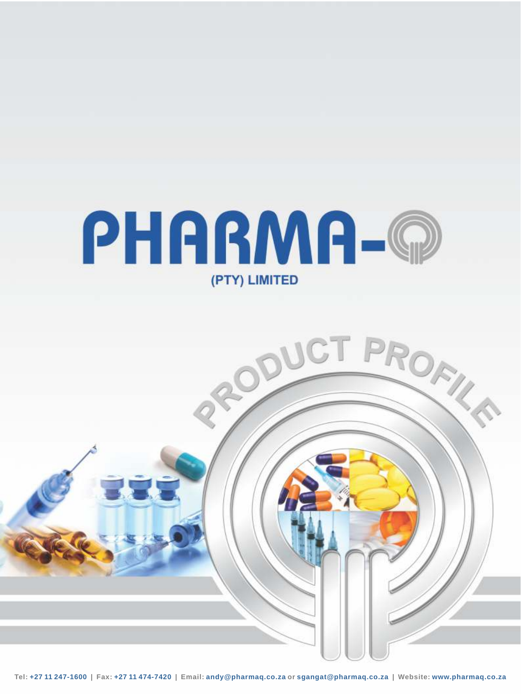

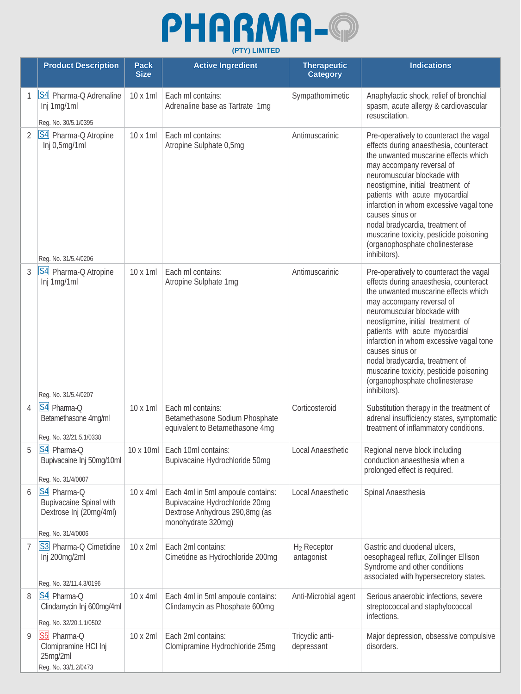## PHARMA-@ **(PTY) LIMITED**

|                | <b>Product Description</b>                                                                     | <b>Pack</b><br><b>Size</b> | <b>Active Ingredient</b>                                                                                                    | <b>Therapeutic</b><br><b>Category</b> | <b>Indications</b>                                                                                                                                                                                                                                                                                                                                                                                                                                          |
|----------------|------------------------------------------------------------------------------------------------|----------------------------|-----------------------------------------------------------------------------------------------------------------------------|---------------------------------------|-------------------------------------------------------------------------------------------------------------------------------------------------------------------------------------------------------------------------------------------------------------------------------------------------------------------------------------------------------------------------------------------------------------------------------------------------------------|
| 1              | S4 Pharma-Q Adrenaline<br>Inj 1mg/1ml                                                          | 10 x 1ml                   | Each ml contains:<br>Adrenaline base as Tartrate 1mg                                                                        | Sympathomimetic                       | Anaphylactic shock, relief of bronchial<br>spasm, acute allergy & cardiovascular<br>resuscitation.                                                                                                                                                                                                                                                                                                                                                          |
| 2              | Reg. No. 30/5.1/0395<br>S4 Pharma-Q Atropine<br>Inj 0,5mg/1ml<br>Reg. No. 31/5.4/0206          | 10 x 1ml                   | Each ml contains:<br>Atropine Sulphate 0,5mg                                                                                | Antimuscarinic                        | Pre-operatively to counteract the vagal<br>effects during anaesthesia, counteract<br>the unwanted muscarine effects which<br>may accompany reversal of<br>neuromuscular blockade with<br>neostigmine, initial treatment of<br>patients with acute myocardial<br>infarction in whom excessive vagal tone<br>causes sinus or<br>nodal bradycardia, treatment of<br>muscarine toxicity, pesticide poisoning<br>(organophosphate cholinesterase<br>inhibitors). |
| 3              | S4 Pharma-Q Atropine<br>Inj 1mg/1ml<br>Reg. No. 31/5.4/0207                                    | 10 x 1ml                   | Each ml contains:<br>Atropine Sulphate 1mg                                                                                  | Antimuscarinic                        | Pre-operatively to counteract the vagal<br>effects during anaesthesia, counteract<br>the unwanted muscarine effects which<br>may accompany reversal of<br>neuromuscular blockade with<br>neostigmine, initial treatment of<br>patients with acute myocardial<br>infarction in whom excessive vagal tone<br>causes sinus or<br>nodal bradycardia, treatment of<br>muscarine toxicity, pesticide poisoning<br>(organophosphate cholinesterase<br>inhibitors). |
| $\overline{4}$ | S4 Pharma-Q<br>Betamethasone 4mg/ml<br>Reg. No. 32/21.5.1/0338                                 | 10 x 1ml                   | Each ml contains:<br>Betamethasone Sodium Phosphate<br>equivalent to Betamethasone 4mg                                      | Corticosteroid                        | Substitution therapy in the treatment of<br>adrenal insufficiency states, symptomatic<br>treatment of inflammatory conditions.                                                                                                                                                                                                                                                                                                                              |
|                | S4 Pharma-Q<br>Bupivacaine Inj 50mg/10ml<br>Reg. No. 31/4/0007                                 |                            | 10 x 10ml   Each 10ml contains:<br>Bupivacaine Hydrochloride 50mg                                                           | Local Anaesthetic                     | Regional nerve block including<br>conduction anaesthesia when a<br>prolonged effect is required.                                                                                                                                                                                                                                                                                                                                                            |
| 6              | S4 Pharma-Q<br><b>Bupivacaine Spinal with</b><br>Dextrose Inj (20mg/4ml)<br>Reg. No. 31/4/0006 | 10 x 4ml                   | Each 4ml in 5ml ampoule contains:<br>Bupivacaine Hydrochloride 20mg<br>Dextrose Anhydrous 290,8mg (as<br>monohydrate 320mg) | Local Anaesthetic                     | Spinal Anaesthesia                                                                                                                                                                                                                                                                                                                                                                                                                                          |
| 7              | S3 Pharma-Q Cimetidine<br>Inj 200mg/2ml<br>Reg. No. 32/11.4.3/0196                             | 10 x 2ml                   | Each 2ml contains:<br>Cimetidne as Hydrochloride 200mg                                                                      | H <sub>2</sub> Receptor<br>antagonist | Gastric and duodenal ulcers,<br>oesophageal reflux, Zollinger Ellison<br>Syndrome and other conditions<br>associated with hypersecretory states.                                                                                                                                                                                                                                                                                                            |
| 8              | S4 Pharma-Q<br>Clindamycin Inj 600mg/4ml<br>Reg. No. 32/20.1.1/0502                            | 10 x 4ml                   | Each 4ml in 5ml ampoule contains:<br>Clindamycin as Phosphate 600mg                                                         | Anti-Microbial agent                  | Serious anaerobic infections, severe<br>streptococcal and staphylococcal<br>infections.                                                                                                                                                                                                                                                                                                                                                                     |
| 9              | S5 Pharma-Q<br>Clomipramine HCI Inj<br>25mg/2ml<br>Reg. No. 33/1.2/0473                        | 10 x 2ml                   | Each 2ml contains:<br>Clomipramine Hydrochloride 25mg                                                                       | Tricyclic anti-<br>depressant         | Major depression, obsessive compulsive<br>disorders.                                                                                                                                                                                                                                                                                                                                                                                                        |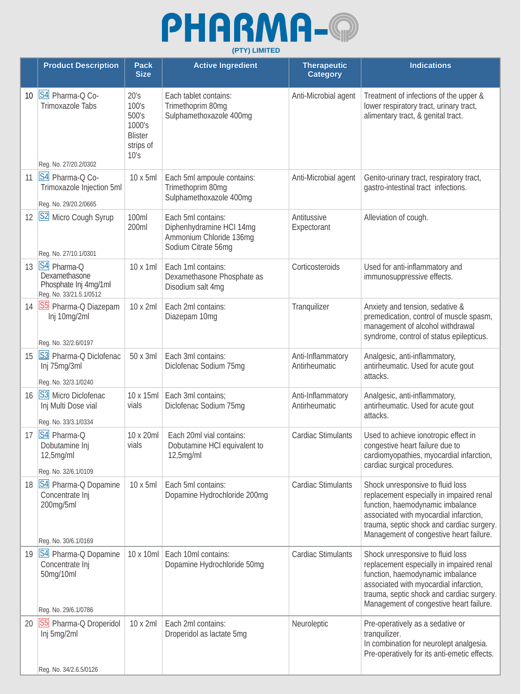

|                 | <b>Product Description</b>                                                       | <b>Pack</b><br><b>Size</b>                                              | <b>Active Ingredient</b>                                                                         | <b>Therapeutic</b><br><b>Category</b> | <b>Indications</b>                                                                                                                                                                                                                                 |
|-----------------|----------------------------------------------------------------------------------|-------------------------------------------------------------------------|--------------------------------------------------------------------------------------------------|---------------------------------------|----------------------------------------------------------------------------------------------------------------------------------------------------------------------------------------------------------------------------------------------------|
| 10 <sup>°</sup> | S4 Pharma-Q Co-<br><b>Trimoxazole Tabs</b><br>Reg. No. 27/20.2/0302              | 20's<br>100's<br>500's<br>1000's<br><b>Blister</b><br>strips of<br>10's | Each tablet contains:<br>Trimethoprim 80mg<br>Sulphamethoxazole 400mg                            | Anti-Microbial agent                  | Treatment of infections of the upper &<br>lower respiratory tract, urinary tract,<br>alimentary tract, & genital tract.                                                                                                                            |
| 11              | S4 Pharma-Q Co-<br>Trimoxazole Injection 5ml<br>Reg. No. 29/20.2/0665            | 10 x 5ml                                                                | Each 5ml ampoule contains:<br>Trimethoprim 80mg<br>Sulphamethoxazole 400mg                       | Anti-Microbial agent                  | Genito-urinary tract, respiratory tract,<br>gastro-intestinal tract infections.                                                                                                                                                                    |
| 12              | S2 Micro Cough Syrup<br>Reg. No. 27/10.1/0301                                    | 100ml<br>200ml                                                          | Each 5ml contains:<br>Diphenhydramine HCI 14mg<br>Ammonium Chloride 136mg<br>Sodium Citrate 56mg | Antitussive<br>Expectorant            | Alleviation of cough.                                                                                                                                                                                                                              |
| 13              | S4 Pharma-Q<br>Dexamethasone<br>Phosphate Inj 4mg/1ml<br>Reg. No. 33/21.5.1/0512 | 10 x 1ml                                                                | Each 1ml contains:<br>Dexamethasone Phosphate as<br>Disodium salt 4mg                            | Corticosteroids                       | Used for anti-inflammatory and<br>immunosuppressive effects.                                                                                                                                                                                       |
| 14              | S5 Pharma-Q Diazepam<br>Inj 10mg/2ml<br>Reg. No. 32/2.6/0197                     | 10 x 2ml                                                                | Each 2ml contains:<br>Diazepam 10mg                                                              | Tranquilizer                          | Anxiety and tension, sedative &<br>premedication, control of muscle spasm,<br>management of alcohol withdrawal<br>syndrome, control of status epilepticus.                                                                                         |
| 15              | S3 Pharma-Q Diclofenac<br>Inj 75mg/3ml<br>Reg. No. 32/3.1/0240                   | 50 x 3ml                                                                | Each 3ml contains:<br>Diclofenac Sodium 75mg                                                     | Anti-Inflammatory<br>Antirheumatic    | Analgesic, anti-inflammatory,<br>antirheumatic. Used for acute gout<br>attacks.                                                                                                                                                                    |
| 16              | S3 Micro Diclofenac<br>Inj Multi Dose vial<br>Reg. No. 33/3.1/0334               | 10 x 15ml<br>vials                                                      | Each 3ml contains;<br>Diclofenac Sodium 75mg                                                     | Anti-Inflammatory<br>Antirheumatic    | Analgesic, anti-inflammatory,<br>antirheumatic. Used for acute gout<br>attacks.                                                                                                                                                                    |
| 17              | S4 Pharma-Q<br>Dobutamine Inj<br>12,5mg/ml<br>Reg. No. 32/6.1/0109               | 10 x 20ml<br>vials                                                      | Each 20ml vial contains:<br>Dobutamine HCI equivalent to<br>12,5mg/ml                            | Cardiac Stimulants                    | Used to achieve ionotropic effect in<br>congestive heart failure due to<br>cardiomyopathies, myocardial infarction,<br>cardiac surgical procedures.                                                                                                |
| 18              | S4 Pharma-Q Dopamine<br>Concentrate Inj<br>200mg/5ml<br>Reg. No. 30/6.1/0169     | 10 x 5ml                                                                | Each 5ml contains:<br>Dopamine Hydrochloride 200mg                                               | <b>Cardiac Stimulants</b>             | Shock unresponsive to fluid loss<br>replacement especially in impaired renal<br>function, haemodynamic imbalance<br>associated with myocardial infarction,<br>trauma, septic shock and cardiac surgery.<br>Management of congestive heart failure. |
| 19              | S4 Pharma-Q Dopamine<br>Concentrate Inj<br>50mg/10ml<br>Reg. No. 29/6.1/0786     | 10 x 10ml                                                               | Each 10ml contains:<br>Dopamine Hydrochloride 50mg                                               | <b>Cardiac Stimulants</b>             | Shock unresponsive to fluid loss<br>replacement especially in impaired renal<br>function, haemodynamic imbalance<br>associated with myocardial infarction,<br>trauma, septic shock and cardiac surgery.<br>Management of congestive heart failure. |
| 20              | S5 Pharma-Q Droperidol<br>Inj 5mg/2ml<br>Reg. No. 34/2.6.5/0126                  | 10 x 2ml                                                                | Each 2ml contains:<br>Droperidol as lactate 5mg                                                  | Neuroleptic                           | Pre-operatively as a sedative or<br>tranquilizer.<br>In combination for neurolept analgesia.<br>Pre-operatively for its anti-emetic effects.                                                                                                       |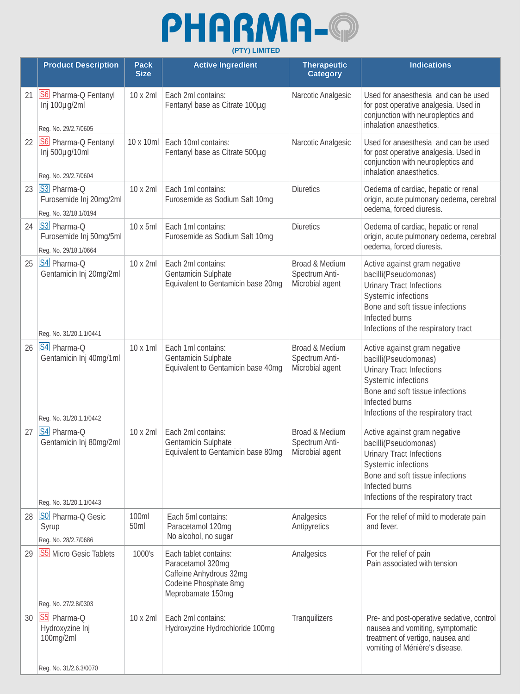## PHARMA-@ **(PTY) LIMITED**

|    | <b>Product Description</b>                                            | <b>Pack</b><br><b>Size</b> | <b>Active Ingredient</b>                                                                                            | <b>Therapeutic</b><br><b>Category</b>               | <b>Indications</b>                                                                                                                                                                                                |
|----|-----------------------------------------------------------------------|----------------------------|---------------------------------------------------------------------------------------------------------------------|-----------------------------------------------------|-------------------------------------------------------------------------------------------------------------------------------------------------------------------------------------------------------------------|
| 21 | S6 Pharma-Q Fentanyl<br>Inj 100µg/2ml<br>Reg. No. 29/2.7/0605         | 10 x 2ml                   | Each 2ml contains:<br>Fentanyl base as Citrate 100µg                                                                | Narcotic Analgesic                                  | Used for anaesthesia and can be used<br>for post operative analgesia. Used in<br>conjunction with neuropleptics and<br>inhalation anaesthetics.                                                                   |
| 22 | S6 Pharma-Q Fentanyl<br>Inj 500µg/10ml<br>Reg. No. 29/2.7/0604        | 10 x 10ml                  | Each 10ml contains:<br>Fentanyl base as Citrate 500µg                                                               | Narcotic Analgesic                                  | Used for anaesthesia and can be used<br>for post operative analgesia. Used in<br>conjunction with neuropleptics and<br>inhalation anaesthetics.                                                                   |
| 23 | S3 Pharma-Q<br>Furosemide Inj 20mg/2ml<br>Reg. No. 32/18.1/0194       | 10 x 2ml                   | Each 1ml contains:<br>Furosemide as Sodium Salt 10mg                                                                | <b>Diuretics</b>                                    | Oedema of cardiac, hepatic or renal<br>origin, acute pulmonary oedema, cerebral<br>oedema, forced diuresis.                                                                                                       |
| 24 | S3 Pharma-Q<br>Furosemide Inj 50mg/5ml<br>Reg. No. 29/18.1/0664       | 10 x 5ml                   | Each 1ml contains:<br>Furosemide as Sodium Salt 10mg                                                                | <b>Diuretics</b>                                    | Oedema of cardiac, hepatic or renal<br>origin, acute pulmonary oedema, cerebral<br>oedema, forced diuresis.                                                                                                       |
| 25 | S4 Pharma-Q<br>Gentamicin Inj 20mg/2ml<br>Reg. No. 31/20.1.1/0441     | 10 x 2ml                   | Each 2ml contains:<br>Gentamicin Sulphate<br>Equivalent to Gentamicin base 20mg                                     | Broad & Medium<br>Spectrum Anti-<br>Microbial agent | Active against gram negative<br>bacilli(Pseudomonas)<br><b>Urinary Tract Infections</b><br><b>Systemic infections</b><br>Bone and soft tissue infections<br>Infected burns<br>Infections of the respiratory tract |
| 26 | S4 Pharma-Q<br>Gentamicin Inj 40mg/1ml<br>Reg. No. 31/20.1.1/0442     | 10 x 1ml                   | Each 1ml contains:<br>Gentamicin Sulphate<br>Equivalent to Gentamicin base 40mg                                     | Broad & Medium<br>Spectrum Anti-<br>Microbial agent | Active against gram negative<br>bacilli(Pseudomonas)<br><b>Urinary Tract Infections</b><br><b>Systemic infections</b><br>Bone and soft tissue infections<br>Infected burns<br>Infections of the respiratory tract |
| 27 | S4 Pharma-Q<br>Gentamicin Inj 80mg/2ml<br>Reg. No. 31/20.1.1/0443     | 10 x 2ml                   | Each 2ml contains:<br>Gentamicin Sulphate<br>Equivalent to Gentamicin base 80mg                                     | Broad & Medium<br>Spectrum Anti-<br>Microbial agent | Active against gram negative<br>bacilli(Pseudomonas)<br><b>Urinary Tract Infections</b><br><b>Systemic infections</b><br>Bone and soft tissue infections<br>Infected burns<br>Infections of the respiratory tract |
| 28 | SO Pharma-Q Gesic<br>Syrup<br>Reg. No. 28/2.7/0686                    | 100ml<br>50 <sub>ml</sub>  | Each 5ml contains:<br>Paracetamol 120mg<br>No alcohol, no sugar                                                     | Analgesics<br>Antipyretics                          | For the relief of mild to moderate pain<br>and fever.                                                                                                                                                             |
| 29 | <b>S5</b> Micro Gesic Tablets<br>Reg. No. 27/2.8/0303                 | 1000's                     | Each tablet contains:<br>Paracetamol 320mg<br>Caffeine Anhydrous 32mg<br>Codeine Phosphate 8mg<br>Meprobamate 150mg | Analgesics                                          | For the relief of pain<br>Pain associated with tension                                                                                                                                                            |
| 30 | S5 Pharma-Q<br>Hydroxyzine Inj<br>100mg/2ml<br>Reg. No. 31/2.6.3/0070 | 10 x 2ml                   | Each 2ml contains:<br>Hydroxyzine Hydrochloride 100mg                                                               | Tranquilizers                                       | Pre- and post-operative sedative, control<br>nausea and vomiting, symptomatic<br>treatment of vertigo, nausea and<br>vomiting of Ménière's disease.                                                               |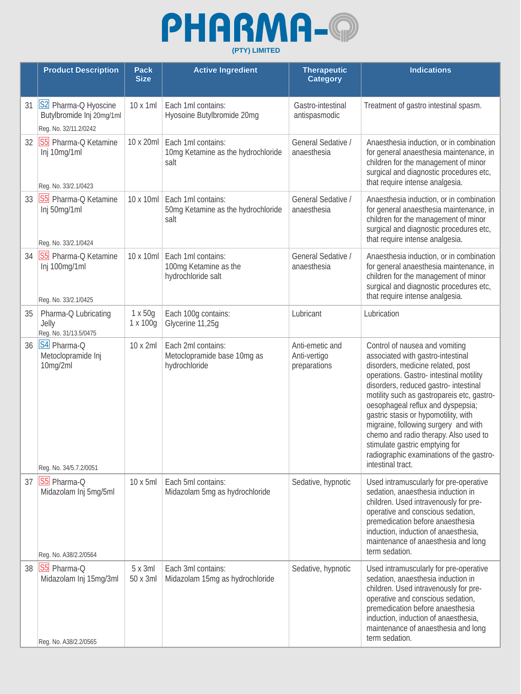

|    | <b>Product Description</b>                                                              | <b>Pack</b><br><b>Size</b> | <b>Active Ingredient</b>                                           | <b>Therapeutic</b><br><b>Category</b>           | <b>Indications</b>                                                                                                                                                                                                                                                                                                                                                                                                                                                                                          |
|----|-----------------------------------------------------------------------------------------|----------------------------|--------------------------------------------------------------------|-------------------------------------------------|-------------------------------------------------------------------------------------------------------------------------------------------------------------------------------------------------------------------------------------------------------------------------------------------------------------------------------------------------------------------------------------------------------------------------------------------------------------------------------------------------------------|
| 31 | S2 Pharma-Q Hyoscine<br>Butylbromide Inj 20mg/1ml<br>Reg. No. 32/11.2/0242              | 10 x 1ml                   | Each 1ml contains:<br>Hyosoine Butylbromide 20mg                   | Gastro-intestinal<br>antispasmodic              | Treatment of gastro intestinal spasm.                                                                                                                                                                                                                                                                                                                                                                                                                                                                       |
| 32 | S5 Pharma-Q Ketamine<br>Inj 10mg/1ml<br>Reg. No. 33/2.1/0423                            | 10 x 20ml                  | Each 1ml contains:<br>10mg Ketamine as the hydrochloride<br>salt   | General Sedative /<br>anaesthesia               | Anaesthesia induction, or in combination<br>for general anaesthesia maintenance, in<br>children for the management of minor<br>surgical and diagnostic procedures etc,<br>that require intense analgesia.                                                                                                                                                                                                                                                                                                   |
| 33 | S5 Pharma-Q Ketamine<br>Inj 50mg/1ml<br>Reg. No. 33/2.1/0424                            | $10 \times 10$ ml          | Each 1ml contains:<br>50mg Ketamine as the hydrochloride<br>salt   | General Sedative /<br>anaesthesia               | Anaesthesia induction, or in combination<br>for general anaesthesia maintenance, in<br>children for the management of minor<br>surgical and diagnostic procedures etc,<br>that require intense analgesia.                                                                                                                                                                                                                                                                                                   |
| 34 | S5 Pharma-Q Ketamine<br>Inj 100mg/1ml<br>Reg. No. 33/2.1/0425                           | 10 x 10ml                  | Each 1ml contains:<br>100mg Ketamine as the<br>hydrochloride salt  | General Sedative /<br>anaesthesia               | Anaesthesia induction, or in combination<br>for general anaesthesia maintenance, in<br>children for the management of minor<br>surgical and diagnostic procedures etc,<br>that require intense analgesia.                                                                                                                                                                                                                                                                                                   |
| 35 | Pharma-Q Lubricating<br>Jelly<br>Reg. No. 31/13.5/0475                                  | 1 x 50g<br>1 x 100g        | Each 100g contains:<br>Glycerine 11,25g                            | Lubricant                                       | Lubrication                                                                                                                                                                                                                                                                                                                                                                                                                                                                                                 |
| 36 | S4 Pharma-Q<br>Metoclopramide Inj<br>10mg/2ml                                           | 10 x 2ml                   | Each 2ml contains:<br>Metoclopramide base 10mg as<br>hydrochloride | Anti-emetic and<br>Anti-vertigo<br>preparations | Control of nausea and vomiting<br>associated with gastro-intestinal<br>disorders, medicine related, post<br>operations. Gastro- intestinal motility<br>disorders, reduced gastro- intestinal<br>motility such as gastropareis etc, gastro-<br>oesophageal reflux and dyspepsia;<br>gastric stasis or hypomotility, with<br>migraine, following surgery and with<br>chemo and radio therapy. Also used to<br>stimulate gastric emptying for<br>radiographic examinations of the gastro-<br>intestinal tract. |
| 37 | Reg. No. 34/5.7.2/0051<br>S5 Pharma-Q<br>Midazolam Inj 5mg/5ml<br>Reg. No. A38/2.2/0564 | 10 x 5ml                   | Each 5ml contains:<br>Midazolam 5mg as hydrochloride               | Sedative, hypnotic                              | Used intramuscularly for pre-operative<br>sedation, anaesthesia induction in<br>children. Used intravenously for pre-<br>operative and conscious sedation,<br>premedication before anaesthesia<br>induction, induction of anaesthesia,<br>maintenance of anaesthesia and long<br>term sedation.                                                                                                                                                                                                             |
| 38 | S5 Pharma-Q<br>Midazolam Inj 15mg/3ml<br>Reg. No. A38/2.2/0565                          | $5x$ 3ml<br>50 x 3ml       | Each 3ml contains:<br>Midazolam 15mg as hydrochloride              | Sedative, hypnotic                              | Used intramuscularly for pre-operative<br>sedation, anaesthesia induction in<br>children. Used intravenously for pre-<br>operative and conscious sedation,<br>premedication before anaesthesia<br>induction, induction of anaesthesia,<br>maintenance of anaesthesia and long<br>term sedation.                                                                                                                                                                                                             |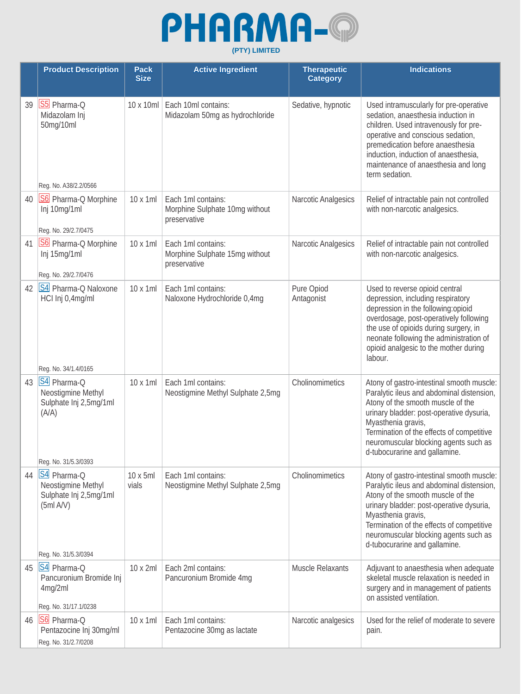

|    | <b>Product Description</b>                                                                       | <b>Pack</b><br><b>Size</b> | <b>Active Ingredient</b>                                             | <b>Therapeutic</b><br><b>Category</b> | <b>Indications</b>                                                                                                                                                                                                                                                                                                   |
|----|--------------------------------------------------------------------------------------------------|----------------------------|----------------------------------------------------------------------|---------------------------------------|----------------------------------------------------------------------------------------------------------------------------------------------------------------------------------------------------------------------------------------------------------------------------------------------------------------------|
| 39 | S5 Pharma-Q<br>Midazolam Inj<br>50mg/10ml<br>Reg. No. A38/2.2/0566                               | 10 x 10ml                  | Each 10ml contains:<br>Midazolam 50mg as hydrochloride               | Sedative, hypnotic                    | Used intramuscularly for pre-operative<br>sedation, anaesthesia induction in<br>children. Used intravenously for pre-<br>operative and conscious sedation,<br>premedication before anaesthesia<br>induction, induction of anaesthesia,<br>maintenance of anaesthesia and long<br>term sedation.                      |
| 40 | S6 Pharma-Q Morphine<br>Inj 10mg/1ml<br>Reg. No. 29/2.7/0475                                     | 10 x 1ml                   | Each 1ml contains:<br>Morphine Sulphate 10mg without<br>preservative | Narcotic Analgesics                   | Relief of intractable pain not controlled<br>with non-narcotic analgesics.                                                                                                                                                                                                                                           |
| 41 | S6 Pharma-Q Morphine<br>Inj 15mg/1ml<br>Reg. No. 29/2.7/0476                                     | 10 x 1ml                   | Each 1ml contains:<br>Morphine Sulphate 15mg without<br>preservative | Narcotic Analgesics                   | Relief of intractable pain not controlled<br>with non-narcotic analgesics.                                                                                                                                                                                                                                           |
| 42 | S4 Pharma-Q Naloxone<br>HCI Inj 0,4mg/ml<br>Reg. No. 34/1.4/0165                                 | 10 x 1ml                   | Each 1ml contains:<br>Naloxone Hydrochloride 0,4mg                   | Pure Opiod<br>Antagonist              | Used to reverse opioid central<br>depression, including respiratory<br>depression in the following:opioid<br>overdosage, post-operatively following<br>the use of opioids during surgery, in<br>neonate following the administration of<br>opioid analgesic to the mother during<br>labour.                          |
| 43 | S4 Pharma-Q<br>Neostigmine Methyl<br>Sulphate Inj 2,5mg/1ml<br>(A/A)<br>Reg. No. 31/5.3/0393     | 10 x 1ml                   | Each 1ml contains:<br>Neostigmine Methyl Sulphate 2,5mg              | Cholinomimetics                       | Atony of gastro-intestinal smooth muscle:<br>Paralytic ileus and abdominal distension,<br>Atony of the smooth muscle of the<br>urinary bladder: post-operative dysuria,<br>Myasthenia gravis,<br>Termination of the effects of competitive<br>neuromuscular blocking agents such as<br>d-tubocurarine and gallamine. |
| 44 | S4 Pharma-Q<br>Neostigmine Methyl<br>Sulphate Inj 2,5mg/1ml<br>(5ml A/V)<br>Reg. No. 31/5.3/0394 | 10 x 5ml<br>vials          | Each 1ml contains:<br>Neostigmine Methyl Sulphate 2,5mg              | Cholinomimetics                       | Atony of gastro-intestinal smooth muscle:<br>Paralytic ileus and abdominal distension,<br>Atony of the smooth muscle of the<br>urinary bladder: post-operative dysuria,<br>Myasthenia gravis,<br>Termination of the effects of competitive<br>neuromuscular blocking agents such as<br>d-tubocurarine and gallamine. |
| 45 | S4 Pharma-Q<br>Pancuronium Bromide Inj<br>4mg/2ml<br>Reg. No. 31/17.1/0238                       | 10 x 2ml                   | Each 2ml contains:<br>Pancuronium Bromide 4mg                        | <b>Muscle Relaxants</b>               | Adjuvant to anaesthesia when adequate<br>skeletal muscle relaxation is needed in<br>surgery and in management of patients<br>on assisted ventilation.                                                                                                                                                                |
| 46 | S6 Pharma-Q<br>Pentazocine Inj 30mg/ml<br>Reg. No. 31/2.7/0208                                   | 10 x 1ml                   | Each 1ml contains:<br>Pentazocine 30mg as lactate                    | Narcotic analgesics                   | Used for the relief of moderate to severe<br>pain.                                                                                                                                                                                                                                                                   |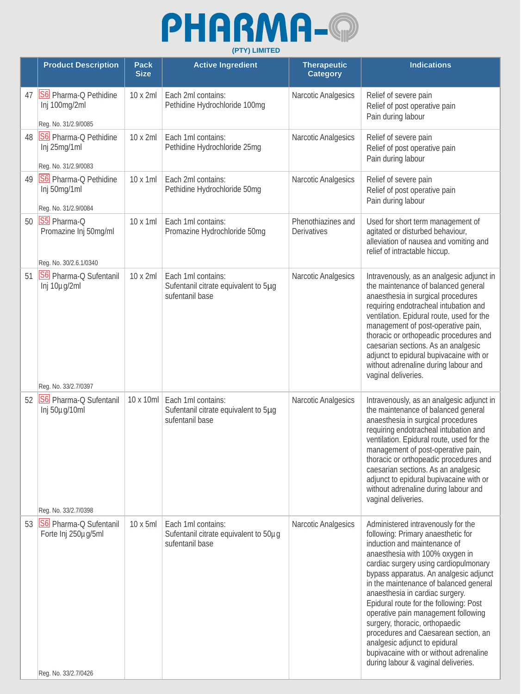## PHARMA-@ **(PTY) LIMITED**

|    | <b>Product Description</b>                                                              | <b>Pack</b><br><b>Size</b> | <b>Active Ingredient</b>                                                       | <b>Therapeutic</b><br><b>Category</b> | <b>Indications</b>                                                                                                                                                                                                                                                                                                                                                                                                                                                                                                                                                                       |
|----|-----------------------------------------------------------------------------------------|----------------------------|--------------------------------------------------------------------------------|---------------------------------------|------------------------------------------------------------------------------------------------------------------------------------------------------------------------------------------------------------------------------------------------------------------------------------------------------------------------------------------------------------------------------------------------------------------------------------------------------------------------------------------------------------------------------------------------------------------------------------------|
| 47 | S6 Pharma-Q Pethidine<br>Inj 100mg/2ml<br>Reg. No. 31/2.9/0085                          | 10 x 2ml                   | Each 2ml contains:<br>Pethidine Hydrochloride 100mg                            | Narcotic Analgesics                   | Relief of severe pain<br>Relief of post operative pain<br>Pain during labour                                                                                                                                                                                                                                                                                                                                                                                                                                                                                                             |
| 48 | S6 Pharma-Q Pethidine<br>Inj 25mg/1ml<br>Reg. No. 31/2.9/0083                           | 10 x 2ml                   | Each 1ml contains:<br>Pethidine Hydrochloride 25mg                             | Narcotic Analgesics                   | Relief of severe pain<br>Relief of post operative pain<br>Pain during labour                                                                                                                                                                                                                                                                                                                                                                                                                                                                                                             |
| 49 | S6 Pharma-Q Pethidine<br>Inj 50mg/1ml<br>Reg. No. 31/2.9/0084                           | $10 \times 1$ ml           | Each 2ml contains:<br>Pethidine Hydrochloride 50mg                             | Narcotic Analgesics                   | Relief of severe pain<br>Relief of post operative pain<br>Pain during labour                                                                                                                                                                                                                                                                                                                                                                                                                                                                                                             |
| 50 | S5 Pharma-Q<br>Promazine Inj 50mg/ml<br>Reg. No. 30/2.6.1/0340                          | $10 \times 1$ ml           | Each 1ml contains:<br>Promazine Hydrochloride 50mg                             | Phenothiazines and<br>Derivatives     | Used for short term management of<br>agitated or disturbed behaviour,<br>alleviation of nausea and vomiting and<br>relief of intractable hiccup.                                                                                                                                                                                                                                                                                                                                                                                                                                         |
| 51 | S6 Pharma-Q Sufentanil<br>Inj 10µg/2ml                                                  | 10 x 2ml                   | Each 1ml contains:<br>Sufentanil citrate equivalent to 5µg<br>sufentanil base  | Narcotic Analgesics                   | Intravenously, as an analgesic adjunct in<br>the maintenance of balanced general<br>anaesthesia in surgical procedures<br>requiring endotracheal intubation and<br>ventilation. Epidural route, used for the<br>management of post-operative pain,<br>thoracic or orthopeadic procedures and<br>caesarian sections. As an analgesic<br>adjunct to epidural bupivacaine with or<br>without adrenaline during labour and<br>vaginal deliveries.                                                                                                                                            |
| 52 | Reg. No. 33/2.7/0397<br>S6 Pharma-Q Sufentanil<br>Inj 50µg/10ml<br>Reg. No. 33/2.7/0398 | 10 x 10ml                  | Each 1ml contains:<br>Sufentanil citrate equivalent to 5µg<br>sufentanil base  | Narcotic Analgesics                   | Intravenously, as an analgesic adjunct in<br>the maintenance of balanced general<br>anaesthesia in surgical procedures<br>requiring endotracheal intubation and<br>ventilation. Epidural route, used for the<br>management of post-operative pain,<br>thoracic or orthopeadic procedures and<br>caesarian sections. As an analgesic<br>adjunct to epidural bupivacaine with or<br>without adrenaline during labour and<br>vaginal deliveries.                                                                                                                                            |
| 53 | <b>S6</b> Pharma-Q Sufentanil<br>Forte Inj 250µg/5ml<br>Reg. No. 33/2.7/0426            | $10 \times 5$ ml           | Each 1ml contains:<br>Sufentanil citrate equivalent to 50µg<br>sufentanil base | Narcotic Analgesics                   | Administered intravenously for the<br>following: Primary anaesthetic for<br>induction and maintenance of<br>anaesthesia with 100% oxygen in<br>cardiac surgery using cardiopulmonary<br>bypass apparatus. An analgesic adjunct<br>in the maintenance of balanced general<br>anaesthesia in cardiac surgery.<br>Epidural route for the following: Post<br>operative pain management following<br>surgery, thoracic, orthopaedic<br>procedures and Caesarean section, an<br>analgesic adjunct to epidural<br>bupivacaine with or without adrenaline<br>during labour & vaginal deliveries. |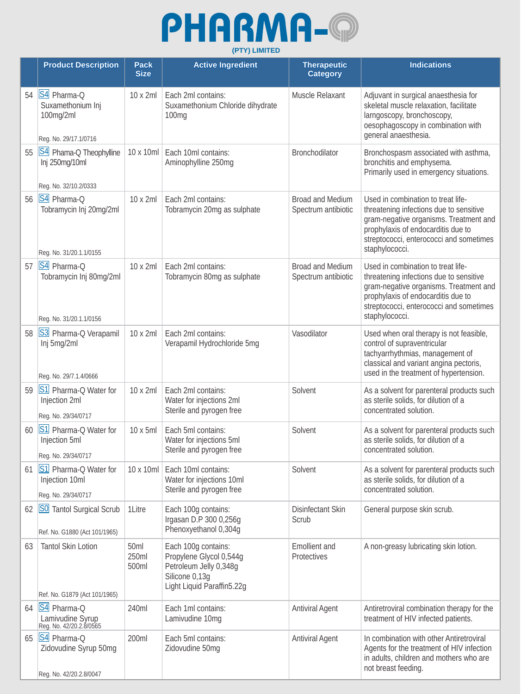

|    | <b>Product Description</b>                                             | <b>Pack</b><br><b>Size</b> | <b>Active Ingredient</b>                                                                                                 | <b>Therapeutic</b><br><b>Category</b>          | <b>Indications</b>                                                                                                                                                                                                         |
|----|------------------------------------------------------------------------|----------------------------|--------------------------------------------------------------------------------------------------------------------------|------------------------------------------------|----------------------------------------------------------------------------------------------------------------------------------------------------------------------------------------------------------------------------|
| 54 | S4 Pharma-Q<br>Suxamethonium Inj<br>100mg/2ml<br>Reg. No. 29/17.1/0716 | 10 x 2ml                   | Each 2ml contains:<br>Suxamethonium Chloride dihydrate<br>100mg                                                          | Muscle Relaxant                                | Adjuvant in surgical anaesthesia for<br>skeletal muscle relaxation, facilitate<br>larngoscopy, bronchoscopy,<br>oesophagoscopy in combination with<br>general anaesthesia.                                                 |
| 55 | S4 Phama-Q Theophylline<br>Inj 250mg/10ml<br>Reg. No. 32/10.2/0333     | 10 x 10ml                  | Each 10ml contains:<br>Aminophylline 250mg                                                                               | Bronchodilator                                 | Bronchospasm associated with asthma,<br>bronchitis and emphysema.<br>Primarily used in emergency situations.                                                                                                               |
| 56 | S4 Pharma-Q<br>Tobramycin Inj 20mg/2ml<br>Reg. No. 31/20.1.1/0155      | 10 x 2ml                   | Each 2ml contains:<br>Tobramycin 20mg as sulphate                                                                        | <b>Broad and Medium</b><br>Spectrum antibiotic | Used in combination to treat life-<br>threatening infections due to sensitive<br>gram-negative organisms. Treatment and<br>prophylaxis of endocarditis due to<br>streptococci, enterococci and sometimes<br>staphylococci. |
| 57 | S4 Pharma-Q<br>Tobramycin Inj 80mg/2ml<br>Reg. No. 31/20.1.1/0156      | 10 x 2ml                   | Each 2ml contains:<br>Tobramycin 80mg as sulphate                                                                        | <b>Broad and Medium</b><br>Spectrum antibiotic | Used in combination to treat life-<br>threatening infections due to sensitive<br>gram-negative organisms. Treatment and<br>prophylaxis of endocarditis due to<br>streptococci, enterococci and sometimes<br>staphylococci. |
| 58 | S3 Pharma-Q Verapamil<br>Inj 5mg/2ml<br>Reg. No. 29/7.1.4/0666         | 10 x 2ml                   | Each 2ml contains:<br>Verapamil Hydrochloride 5mg                                                                        | Vasodilator                                    | Used when oral therapy is not feasible,<br>control of supraventricular<br>tachyarrhythmias, management of<br>classical and variant angina pectoris,<br>used in the treatment of hypertension.                              |
| 59 | S1 Pharma-Q Water for<br>Injection 2ml<br>Reg. No. 29/34/0717          | 10 x 2ml                   | Each 2ml contains:<br>Water for injections 2ml<br>Sterile and pyrogen free                                               | Solvent                                        | As a solvent for parenteral products such<br>as sterile solids, for dilution of a<br>concentrated solution.                                                                                                                |
| 60 | S1 Pharma-Q Water for<br>Injection 5ml<br>Reg. No. 29/34/0717          | 10 x 5ml                   | Each 5ml contains:<br>Water for injections 5ml<br>Sterile and pyrogen free                                               | Solvent                                        | As a solvent for parenteral products such<br>as sterile solids, for dilution of a<br>concentrated solution.                                                                                                                |
| 61 | S1 Pharma-Q Water for<br>Injection 10ml<br>Reg. No. 29/34/0717         | 10 x 10ml                  | Each 10ml contains:<br>Water for injections 10ml<br>Sterile and pyrogen free                                             | Solvent                                        | As a solvent for parenteral products such<br>as sterile solids, for dilution of a<br>concentrated solution.                                                                                                                |
| 62 | <b>SO</b> Tantol Surgical Scrub<br>Ref. No. G1880 (Act 101/1965)       | 1Litre                     | Each 100g contains:<br>Irgasan D.P 300 0,256g<br>Phenoxyethanol 0,304g                                                   | Disinfectant Skin<br>Scrub                     | General purpose skin scrub.                                                                                                                                                                                                |
| 63 | <b>Tantol Skin Lotion</b><br>Ref. No. G1879 (Act 101/1965)             | 50ml<br>250ml<br>500ml     | Each 100g contains:<br>Propylene Glycol 0,544g<br>Petroleum Jelly 0,348g<br>Silicone 0,13g<br>Light Liquid Paraffin5.22g | <b>Emollient</b> and<br>Protectives            | A non-greasy lubricating skin lotion.                                                                                                                                                                                      |
| 64 | S4 Pharma-Q<br>Lamivudine Syrup<br>Reg. No. 42/20.2.8/0565             | 240ml                      | Each 1ml contains:<br>Lamivudine 10mg                                                                                    | <b>Antiviral Agent</b>                         | Antiretroviral combination therapy for the<br>treatment of HIV infected patients.                                                                                                                                          |
| 65 | S4 Pharma-Q<br>Zidovudine Syrup 50mg<br>Reg. No. 42/20.2.8/0047        | 200ml                      | Each 5ml contains:<br>Zidovudine 50mg                                                                                    | <b>Antiviral Agent</b>                         | In combination with other Antiretroviral<br>Agents for the treatment of HIV infection<br>in adults, children and mothers who are<br>not breast feeding.                                                                    |